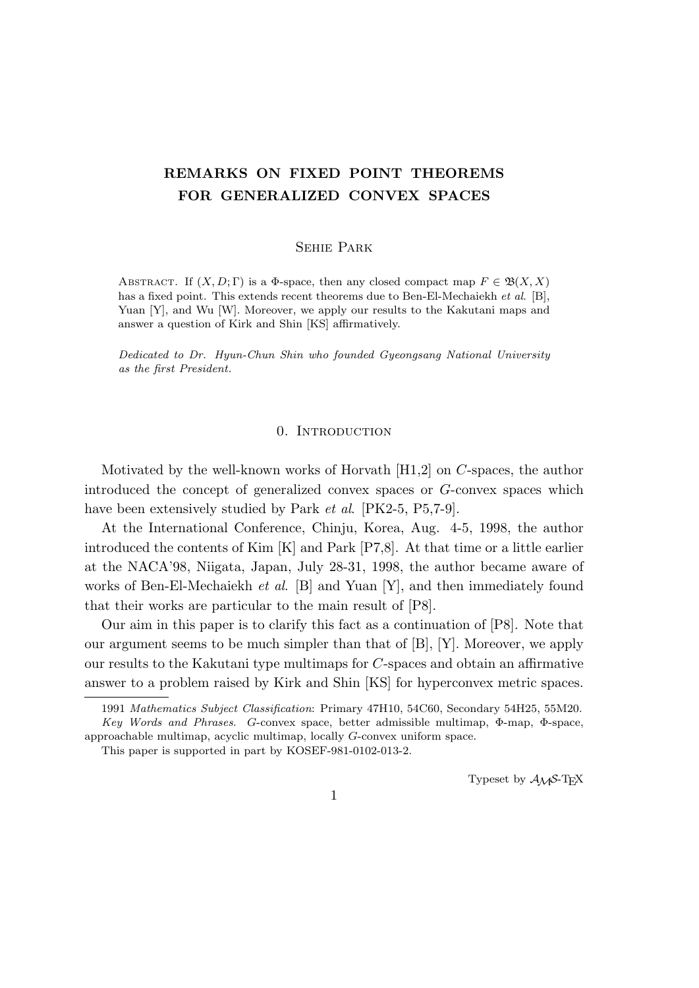# **REMARKS ON FIXED POINT THEOREMS FOR GENERALIZED CONVEX SPACES**

#### Sehie Park

ABSTRACT. If  $(X, D; \Gamma)$  is a  $\Phi$ -space, then any closed compact map  $F \in \mathfrak{B}(X, X)$ has a fixed point. This extends recent theorems due to Ben-El-Mechaiekh *et al*. [B], Yuan [Y], and Wu [W]. Moreover, we apply our results to the Kakutani maps and answer a question of Kirk and Shin [KS] affirmatively.

*Dedicated to Dr. Hyun-Chun Shin who founded Gyeongsang National University as the first President.*

#### 0. INTRODUCTION

Motivated by the well-known works of Horvath [H1,2] on *C*-spaces, the author introduced the concept of generalized convex spaces or *G*-convex spaces which have been extensively studied by Park *et al*. [PK2-5, P5,7-9].

At the International Conference, Chinju, Korea, Aug. 4-5, 1998, the author introduced the contents of Kim [K] and Park [P7,8]. At that time or a little earlier at the NACA'98, Niigata, Japan, July 28-31, 1998, the author became aware of works of Ben-El-Mechaiekh *et al*. [B] and Yuan [Y], and then immediately found that their works are particular to the main result of [P8].

Our aim in this paper is to clarify this fact as a continuation of [P8]. Note that our argument seems to be much simpler than that of [B], [Y]. Moreover, we apply our results to the Kakutani type multimaps for *C*-spaces and obtain an affirmative answer to a problem raised by Kirk and Shin [KS] for hyperconvex metric spaces.

Typeset by  $\mathcal{A}_{\mathcal{M}}\mathcal{S}\text{-}\mathrm{Tr}X$ 

<sup>1991</sup> *Mathematics Subject Classification*: Primary 47H10, 54C60, Secondary 54H25, 55M20. *Key Words and Phrases*. *G*-convex space, better admissible multimap, Φ-map, Φ-space,

approachable multimap, acyclic multimap, locally *G*-convex uniform space.

This paper is supported in part by KOSEF-981-0102-013-2.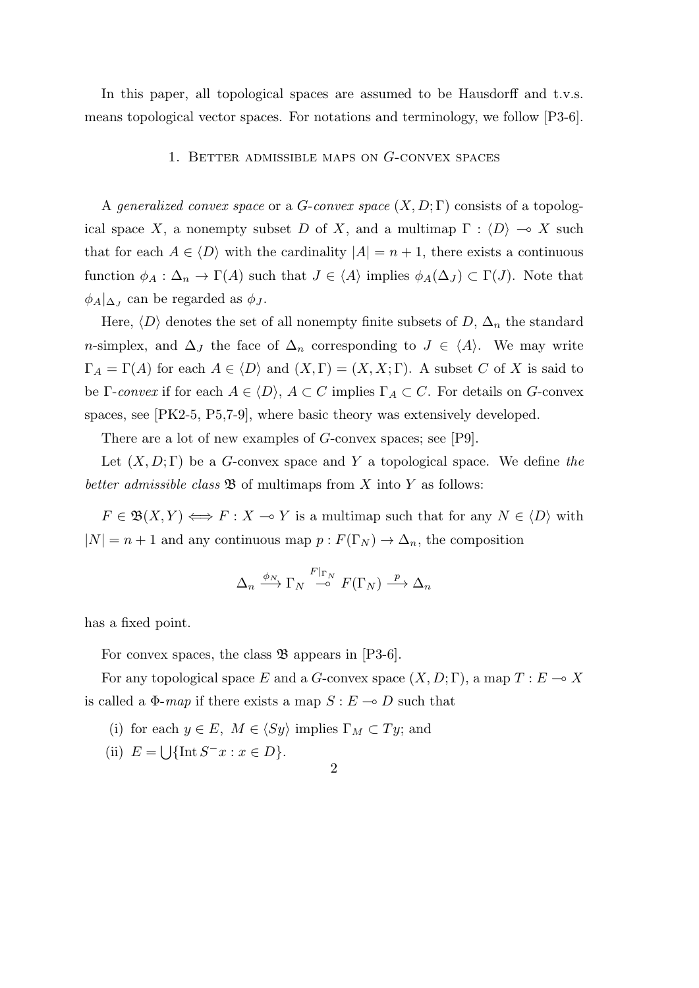In this paper, all topological spaces are assumed to be Hausdorff and t.v.s. means topological vector spaces. For notations and terminology, we follow [P3-6].

### 1. Better admissible maps on *G*-convex spaces

A *generalized convex space* or a *G*-*convex space* (*X, D*; Γ) consists of a topological space *X*, a nonempty subset *D* of *X*, and a multimap  $\Gamma : \langle D \rangle \to X$  such that for each  $A \in \langle D \rangle$  with the cardinality  $|A| = n + 1$ , there exists a continuous function  $\phi_A : \Delta_n \to \Gamma(A)$  such that  $J \in \langle A \rangle$  implies  $\phi_A(\Delta_J) \subset \Gamma(J)$ . Note that  $\phi_A|_{\Delta_J}$  can be regarded as  $\phi_J$ .

Here,  $\langle D \rangle$  denotes the set of all nonempty finite subsets of  $D$ ,  $\Delta_n$  the standard *n*-simplex, and  $\Delta_J$  the face of  $\Delta_n$  corresponding to  $J \in \langle A \rangle$ . We may write  $\Gamma_A = \Gamma(A)$  for each  $A \in \langle D \rangle$  and  $(X, \Gamma) = (X, X; \Gamma)$ . A subset *C* of *X* is said to be Γ-*convex* if for each  $A \in \langle D \rangle$ ,  $A \subset C$  implies  $\Gamma_A \subset C$ . For details on *G*-convex spaces, see [PK2-5, P5,7-9], where basic theory was extensively developed.

There are a lot of new examples of *G*-convex spaces; see [P9].

Let (*X, D*; Γ) be a *G*-convex space and *Y* a topological space. We define *the better admissible class*  $\mathfrak{B}$  of multimaps from *X* into *Y* as follows:

 $F \in \mathfrak{B}(X, Y) \Longleftrightarrow F : X \multimap Y$  is a multimap such that for any  $N \in \langle D \rangle$  with  $|N| = n + 1$  and any continuous map  $p : F(\Gamma_N) \to \Delta_n$ , the composition

$$
\Delta_n \xrightarrow{\phi_N} \Gamma_N \xrightarrow{F|_{\Gamma_N}} F(\Gamma_N) \xrightarrow{p} \Delta_n
$$

has a fixed point.

For convex spaces, the class  $\mathfrak B$  appears in [P3-6].

For any topological space *E* and a *G*-convex space  $(X, D; \Gamma)$ , a map  $T: E \to X$ is called a  $\Phi$ -*map* if there exists a map  $S : E \to D$  such that

- (i) for each  $y \in E$ ,  $M \in \langle Sy \rangle$  implies  $\Gamma_M \subset Ty$ ; and
- (ii)  $E = \bigcup \{ \text{Int } S^- x : x \in D \}.$
- 2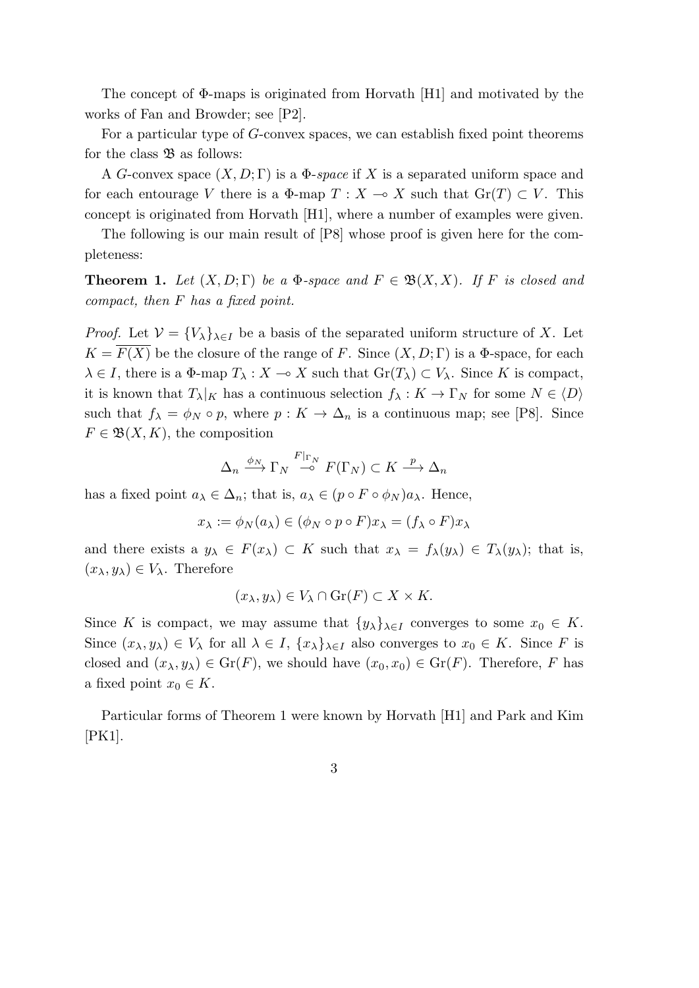The concept of Φ-maps is originated from Horvath [H1] and motivated by the works of Fan and Browder; see [P2].

For a particular type of *G*-convex spaces, we can establish fixed point theorems for the class  $\mathfrak{B}$  as follows:

A *G*-convex space  $(X, D; \Gamma)$  is a  $\Phi$ -*space* if X is a separated uniform space and for each entourage *V* there is a  $\Phi$ -map  $T : X \to X$  such that  $\text{Gr}(T) \subset V$ . This concept is originated from Horvath [H1], where a number of examples were given.

The following is our main result of [P8] whose proof is given here for the completeness:

**Theorem 1.** Let  $(X, D; \Gamma)$  be a  $\Phi$ -space and  $F \in \mathfrak{B}(X, X)$ . If F is closed and *compact, then F has a fixed point.*

*Proof.* Let  $V = \{V_{\lambda}\}_{{\lambda \in I}}$  be a basis of the separated uniform structure of X. Let  $K = \overline{F(X)}$  be the closure of the range of *F*. Since  $(X, D; \Gamma)$  is a Φ-space, for each  $\lambda \in I$ , there is a  $\Phi$ -map  $T_{\lambda}: X \to X$  such that  $\text{Gr}(T_{\lambda}) \subset V_{\lambda}$ . Since *K* is compact, it is known that  $T_\lambda|_K$  has a continuous selection  $f_\lambda: K \to \Gamma_N$  for some  $N \in \langle D \rangle$ such that  $f_{\lambda} = \phi_N \circ p$ , where  $p: K \to \Delta_n$  is a continuous map; see [P8]. Since  $F \in \mathfrak{B}(X,K)$ , the composition

$$
\Delta_n \xrightarrow{\phi_N} \Gamma_N \xrightarrow{F|_{\Gamma_N}} F(\Gamma_N) \subset K \xrightarrow{p} \Delta_n
$$

has a fixed point  $a_{\lambda} \in \Delta_n$ ; that is,  $a_{\lambda} \in (p \circ F \circ \phi_N)a_{\lambda}$ . Hence,

$$
x_{\lambda} := \phi_N(a_{\lambda}) \in (\phi_N \circ p \circ F)x_{\lambda} = (f_{\lambda} \circ F)x_{\lambda}
$$

and there exists a  $y_{\lambda} \in F(x_{\lambda}) \subset K$  such that  $x_{\lambda} = f_{\lambda}(y_{\lambda}) \in T_{\lambda}(y_{\lambda})$ ; that is,  $(x_{\lambda}, y_{\lambda}) \in V_{\lambda}$ . Therefore

$$
(x_{\lambda}, y_{\lambda}) \in V_{\lambda} \cap \text{Gr}(F) \subset X \times K.
$$

Since *K* is compact, we may assume that  $\{y_\lambda\}_{\lambda \in I}$  converges to some  $x_0 \in K$ . Since  $(x_{\lambda}, y_{\lambda}) \in V_{\lambda}$  for all  $\lambda \in I$ ,  $\{x_{\lambda}\}_{\lambda \in I}$  also converges to  $x_0 \in K$ . Since F is closed and  $(x_{\lambda}, y_{\lambda}) \in \text{Gr}(F)$ , we should have  $(x_0, x_0) \in \text{Gr}(F)$ . Therefore, *F* has a fixed point  $x_0 \in K$ .

Particular forms of Theorem 1 were known by Horvath [H1] and Park and Kim [PK1].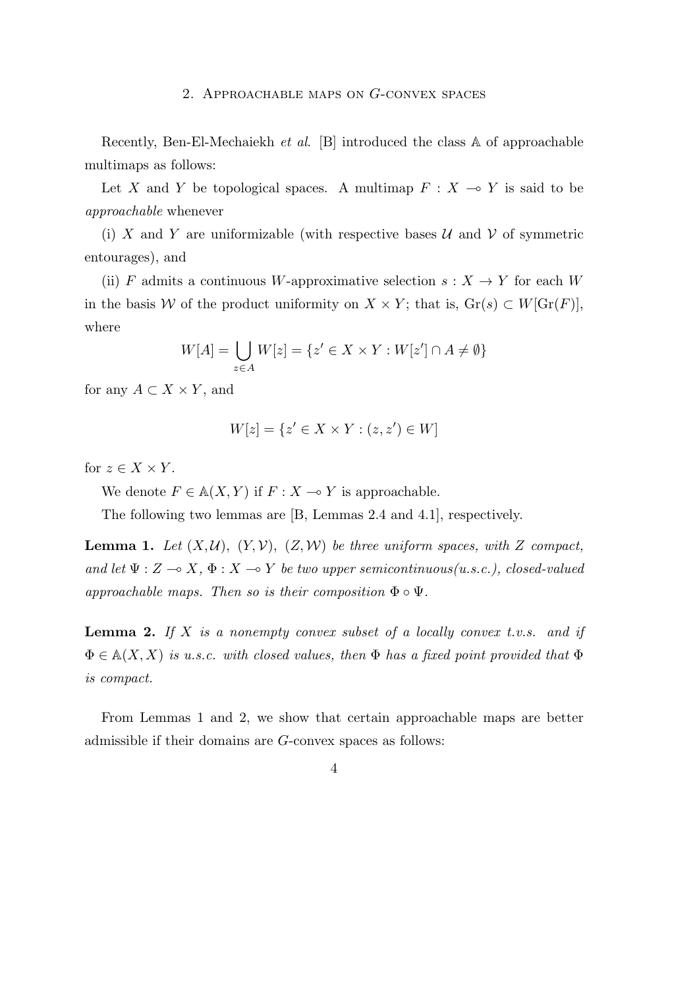#### 2. Approachable maps on *G*-convex spaces

Recently, Ben-El-Mechaiekh *et al*. [B] introduced the class A of approachable multimaps as follows:

Let X and Y be topological spaces. A multimap  $F: X \to Y$  is said to be *approachable* whenever

(i) *X* and *Y* are uniformizable (with respective bases  $U$  and  $V$  of symmetric entourages), and

(ii) *F* admits a continuous *W*-approximative selection  $s: X \to Y$  for each *W* in the basis *W* of the product uniformity on *X* × *Y*; that is,  $\text{Gr}(s) \subset W[\text{Gr}(F)],$ where

$$
W[A] = \bigcup_{z \in A} W[z] = \{ z' \in X \times Y : W[z'] \cap A \neq \emptyset \}
$$

for any  $A \subset X \times Y$ , and

$$
W[z] = \{ z' \in X \times Y : (z, z') \in W \}
$$

for  $z \in X \times Y$ .

We denote  $F \in A(X, Y)$  if  $F : X \to Y$  is approachable.

The following two lemmas are [B, Lemmas 2.4 and 4.1], respectively.

**Lemma 1.** Let  $(X, \mathcal{U})$ ,  $(Y, \mathcal{V})$ ,  $(Z, \mathcal{W})$  be three uniform spaces, with *Z* compact, *and let*  $\Psi : Z \to X$ ,  $\Phi : X \to Y$  *be two upper semicontinuous(u.s.c.), closed-valued approachable maps. Then so is their composition*  $\Phi \circ \Psi$ *.* 

**Lemma 2.** *If X is a nonempty convex subset of a locally convex t.v.s. and if* Φ *∈* A(*X, X*) *is u.s.c. with closed values, then* Φ *has a fixed point provided that* Φ *is compact.*

From Lemmas 1 and 2, we show that certain approachable maps are better admissible if their domains are *G*-convex spaces as follows: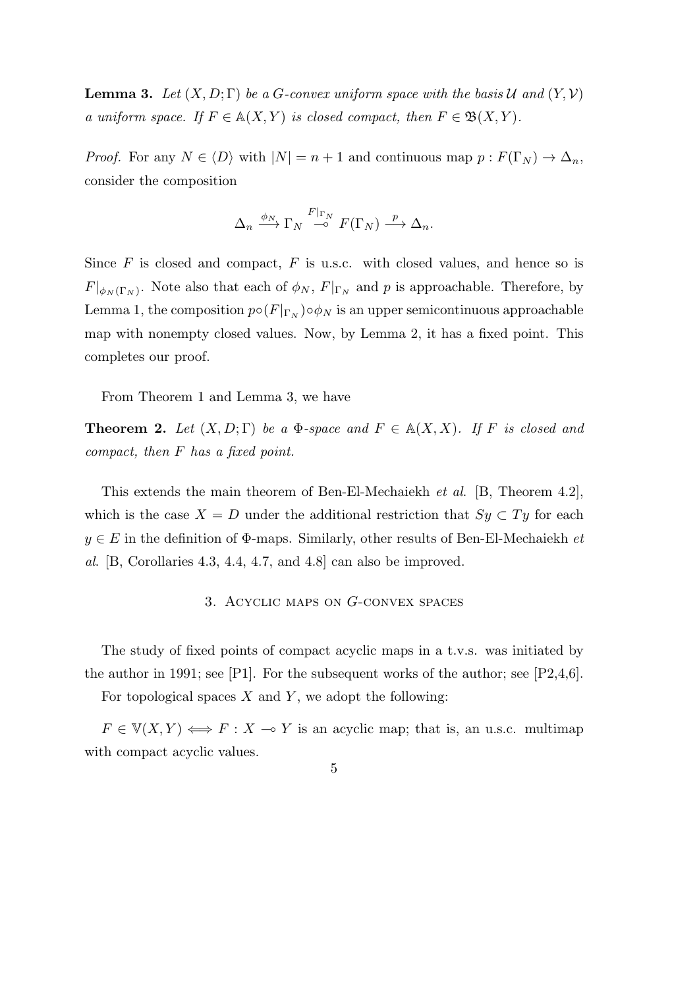**Lemma 3.** Let  $(X, D; \Gamma)$  be a *G*-convex uniform space with the basis *U* and  $(Y, V)$ *a* uniform space. If  $F \in A(X, Y)$  is closed compact, then  $F \in \mathfrak{B}(X, Y)$ .

*Proof.* For any  $N \in \langle D \rangle$  with  $|N| = n + 1$  and continuous map  $p : F(\Gamma_N) \to \Delta_n$ , consider the composition

$$
\Delta_n \xrightarrow{\phi_N} \Gamma_N \xrightarrow{F|_{\Gamma_N}} F(\Gamma_N) \xrightarrow{p} \Delta_n.
$$

Since *F* is closed and compact, *F* is u.s.c. with closed values, and hence so is  $F|_{\phi_N(\Gamma_N)}$ . Note also that each of  $\phi_N$ ,  $F|_{\Gamma_N}$  and *p* is approachable. Therefore, by Lemma 1, the composition  $p \circ (F|_{\Gamma_N}) \circ \phi_N$  is an upper semicontinuous approachable map with nonempty closed values. Now, by Lemma 2, it has a fixed point. This completes our proof.

From Theorem 1 and Lemma 3, we have

**Theorem 2.** Let  $(X, D; \Gamma)$  be a  $\Phi$ -space and  $F \in A(X, X)$ . If F is closed and *compact, then F has a fixed point.*

This extends the main theorem of Ben-El-Mechaiekh *et al*. [B, Theorem 4.2], which is the case  $X = D$  under the additional restriction that  $Sy \subset Ty$  for each *y ∈ E* in the definition of Φ-maps. Similarly, other results of Ben-El-Mechaiekh *et al*. [B, Corollaries 4.3, 4.4, 4.7, and 4.8] can also be improved.

## 3. Acyclic maps on *G*-convex spaces

The study of fixed points of compact acyclic maps in a t.v.s. was initiated by the author in 1991; see  $[P1]$ . For the subsequent works of the author; see  $[P2,4,6]$ .

For topological spaces *X* and *Y* , we adopt the following:

 $F \in V(X, Y) \Longleftrightarrow F : X \multimap Y$  is an acyclic map; that is, an u.s.c. multimap with compact acyclic values.

$$
\overline{5}
$$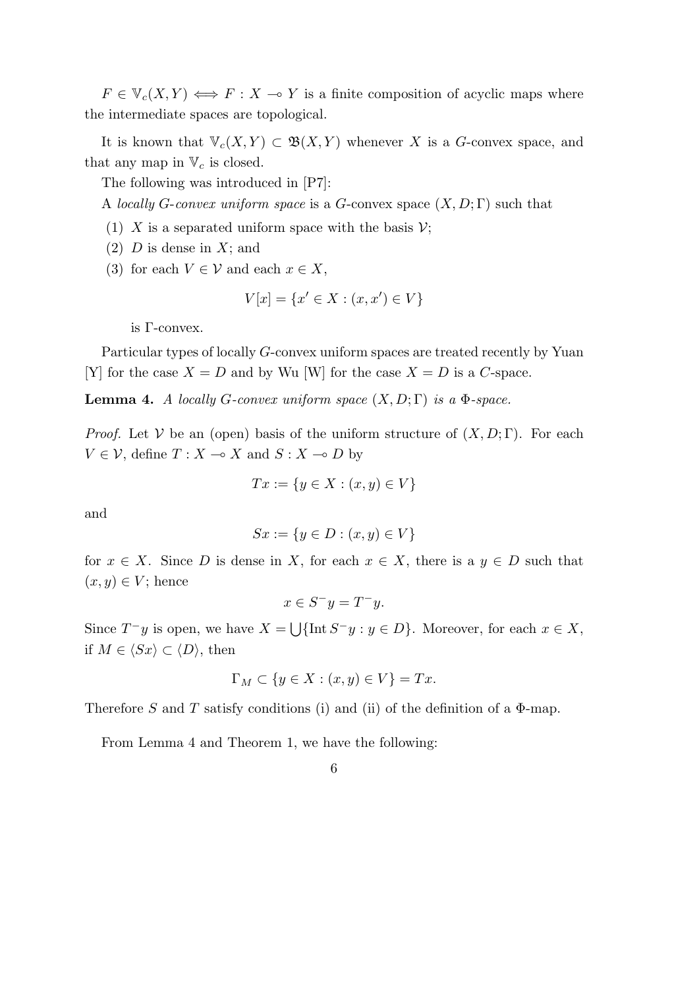$F \in V_c(X, Y) \iff F : X \to Y$  is a finite composition of acyclic maps where the intermediate spaces are topological.

It is known that  $\mathbb{V}_c(X, Y) \subset \mathfrak{B}(X, Y)$  whenever X is a *G*-convex space, and that any map in  $V_c$  is closed.

The following was introduced in [P7]:

A *locally G*-*convex uniform space* is a *G*-convex space (*X, D*; Γ) such that

- (1) *X* is a separated uniform space with the basis  $V$ ;
- (2) *D* is dense in *X*; and
- (3) for each  $V \in \mathcal{V}$  and each  $x \in X$ ,

$$
V[x] = \{x' \in X : (x, x') \in V\}
$$

is Γ-convex.

Particular types of locally *G*-convex uniform spaces are treated recently by Yuan [Y] for the case  $X = D$  and by Wu [W] for the case  $X = D$  is a *C*-space.

**Lemma 4.** *A locally G-convex uniform space*  $(X, D; \Gamma)$  *is a*  $\Phi$ *-space.* 

*Proof.* Let *V* be an (open) basis of the uniform structure of  $(X, D; \Gamma)$ . For each  $V \in \mathcal{V}$ , define  $T : X \to X$  and  $S : X \to D$  by

$$
Tx := \{ y \in X : (x, y) \in V \}
$$

and

$$
Sx := \{ y \in D : (x, y) \in V \}
$$

for  $x \in X$ . Since *D* is dense in *X*, for each  $x \in X$ , there is a  $y \in D$  such that  $(x, y) \in V$ ; hence

$$
x \in S^- y = T^- y.
$$

Since  $T^-y$  is open, we have  $X = \bigcup \{\text{Int } S^-y : y \in D\}$ . Moreover, for each  $x \in X$ , if *M* ∈  $\langle Sx \rangle$  ⊂  $\langle D \rangle$ , then

$$
\Gamma_M \subset \{ y \in X : (x, y) \in V \} = Tx.
$$

Therefore *S* and *T* satisfy conditions (i) and (ii) of the definition of a Φ-map.

From Lemma 4 and Theorem 1, we have the following: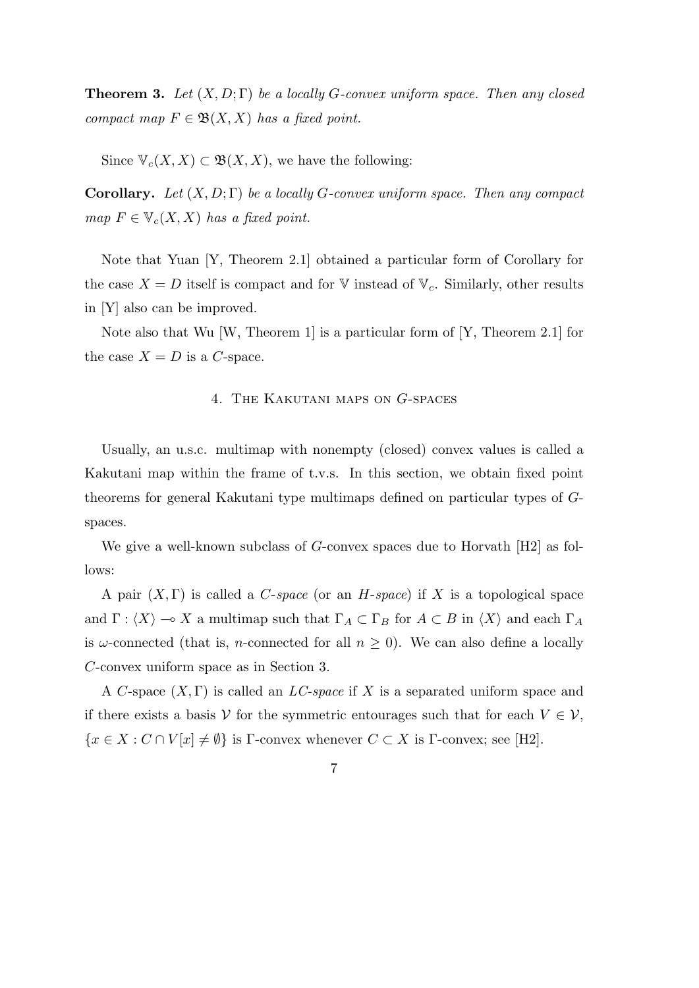**Theorem 3.** *Let* (*X, D*; Γ) *be a locally G-convex uniform space. Then any closed compact map*  $F \in \mathfrak{B}(X,X)$  *has a fixed point.* 

Since  $\mathbb{V}_c(X,X) \subset \mathfrak{B}(X,X)$ , we have the following:

**Corollary.** *Let* (*X, D*; Γ) *be a locally G-convex uniform space. Then any compact map*  $F \in \mathbb{V}_c(X,X)$  *has a fixed point.* 

Note that Yuan [Y, Theorem 2.1] obtained a particular form of Corollary for the case  $X = D$  itself is compact and for V instead of  $V_c$ . Similarly, other results in [Y] also can be improved.

Note also that Wu [W, Theorem 1] is a particular form of [Y, Theorem 2.1] for the case  $X = D$  is a *C*-space.

## 4. The Kakutani maps on *G*-spaces

Usually, an u.s.c. multimap with nonempty (closed) convex values is called a Kakutani map within the frame of t.v.s. In this section, we obtain fixed point theorems for general Kakutani type multimaps defined on particular types of *G*spaces.

We give a well-known subclass of *G*-convex spaces due to Horvath [H2] as follows:

A pair (*X,* Γ) is called a *C*-*space* (or an *H*-*space*) if *X* is a topological space and  $\Gamma$  :  $\langle X \rangle \to X$  a multimap such that  $\Gamma_A \subset \Gamma_B$  for  $A \subset B$  in  $\langle X \rangle$  and each  $\Gamma_A$ is *ω*-connected (that is, *n*-connected for all  $n \geq 0$ ). We can also define a locally *C*-convex uniform space as in Section 3.

A *C*-space (*X,* Γ) is called an *LC-space* if *X* is a separated uniform space and if there exists a basis *V* for the symmetric entourages such that for each  $V \in V$ ,  ${x \in X : C \cap V[x] \neq \emptyset}$  is Γ-convex whenever  $C \subset X$  is Γ-convex; see [H2].

$$
\mathbf{7}
$$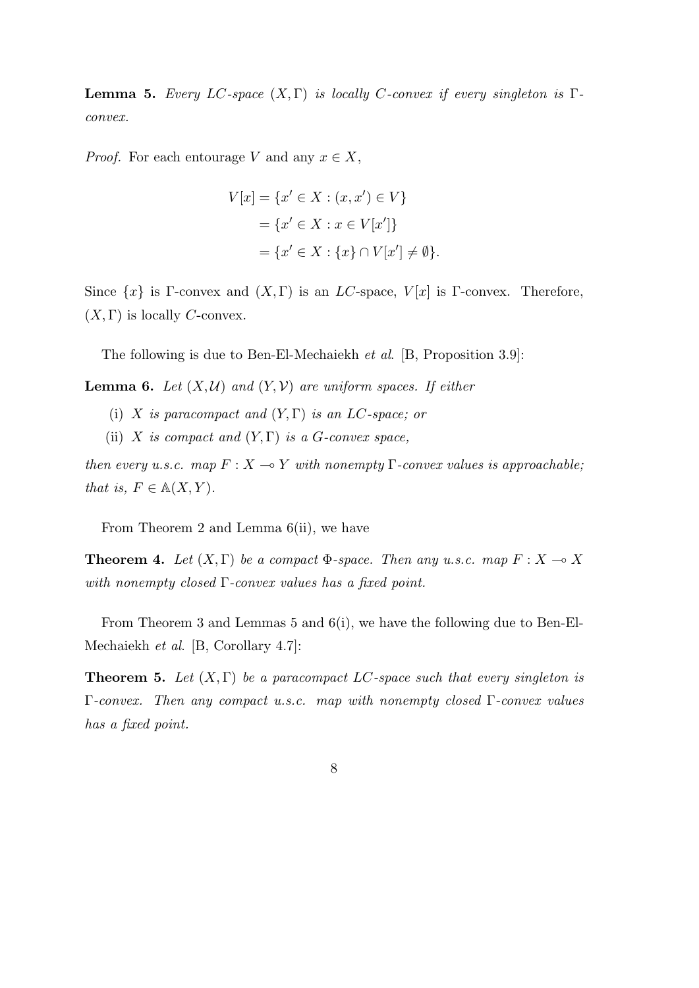**Lemma 5.** *Every LC*-space  $(X, \Gamma)$  *is locally C*-convex *if* every singleton is  $\Gamma$ *convex.*

*Proof.* For each entourage *V* and any  $x \in X$ ,

$$
V[x] = \{x' \in X : (x, x') \in V\}
$$
  
=  $\{x' \in X : x \in V[x']\}$   
=  $\{x' \in X : \{x\} \cap V[x'] \neq \emptyset\}.$ 

Since  $\{x\}$  is Γ-convex and  $(X, \Gamma)$  is an *LC*-space,  $V[x]$  is Γ-convex. Therefore,  $(X, \Gamma)$  is locally *C*-convex.

The following is due to Ben-El-Mechaiekh *et al*. [B, Proposition 3.9]:

**Lemma 6.** *Let*  $(X, \mathcal{U})$  *and*  $(Y, \mathcal{V})$  *are uniform spaces. If either* 

- (i) *X is paracompact and* (*Y,* Γ) *is an LC-space; or*
- (ii) *X is compact and*  $(Y, \Gamma)$  *is a G-convex space,*

*then every u.s.c.* map  $F: X \to Y$  *with nonempty*  $\Gamma$ -convex values is approachable; *that is,*  $F \in A(X, Y)$ *.* 

From Theorem 2 and Lemma 6(ii), we have

**Theorem 4.** *Let*  $(X, \Gamma)$  *be a compact*  $\Phi$ *-space. Then any u.s.c. map*  $F: X \to X$ *with nonempty closed* Γ*-convex values has a fixed point.*

From Theorem 3 and Lemmas 5 and 6(i), we have the following due to Ben-El-Mechaiekh *et al*. [B, Corollary 4.7]:

**Theorem 5.** *Let* (*X,* Γ) *be a paracompact LC-space such that every singleton is* Γ*-convex. Then any compact u.s.c. map with nonempty closed* Γ*-convex values has a fixed point.*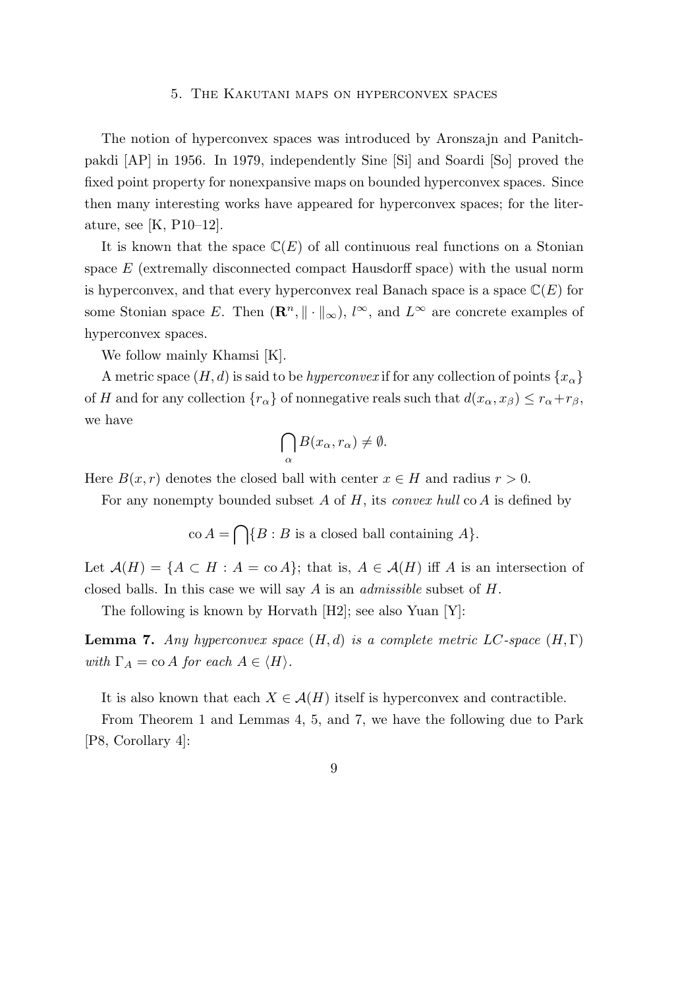#### 5. The Kakutani maps on hyperconvex spaces

The notion of hyperconvex spaces was introduced by Aronszajn and Panitchpakdi [AP] in 1956. In 1979, independently Sine [Si] and Soardi [So] proved the fixed point property for nonexpansive maps on bounded hyperconvex spaces. Since then many interesting works have appeared for hyperconvex spaces; for the literature, see [K, P10–12].

It is known that the space  $\mathbb{C}(E)$  of all continuous real functions on a Stonian space *E* (extremally disconnected compact Hausdorff space) with the usual norm is hyperconvex, and that every hyperconvex real Banach space is a space  $\mathbb{C}(E)$  for some Stonian space *E*. Then  $(\mathbb{R}^n, \|\cdot\|_{\infty})$ ,  $l^{\infty}$ , and  $L^{\infty}$  are concrete examples of hyperconvex spaces.

We follow mainly Khamsi [K].

A metric space  $(H, d)$  is said to be *hyperconvex* if for any collection of points  $\{x_\alpha\}$ of *H* and for any collection  ${r_\alpha}$  of nonnegative reals such that  $d(x_\alpha, x_\beta) \leq r_\alpha + r_\beta$ , we have

$$
\bigcap_{\alpha} B(x_{\alpha}, r_{\alpha}) \neq \emptyset.
$$

Here  $B(x, r)$  denotes the closed ball with center  $x \in H$  and radius  $r > 0$ .

For any nonempty bounded subset *A* of *H*, its *convex hull* co *A* is defined by

 $\operatorname{co} A = \bigcap \{ B : B \text{ is a closed ball containing } A \}.$ 

Let  $\mathcal{A}(H) = \{A \subset H : A = \text{co } A\}$ ; that is,  $A \in \mathcal{A}(H)$  iff A is an intersection of closed balls. In this case we will say *A* is an *admissible* subset of *H*.

The following is known by Horvath [H2]; see also Yuan [Y]:

**Lemma 7.** *Any hyperconvex space*  $(H, d)$  *is a complete metric LC*-space  $(H, \Gamma)$ *with*  $\Gamma_A = \text{co } A$  *for each*  $A \in \langle H \rangle$ *.* 

It is also known that each  $X \in \mathcal{A}(H)$  itself is hyperconvex and contractible.

From Theorem 1 and Lemmas 4, 5, and 7, we have the following due to Park [P8, Corollary 4]:

9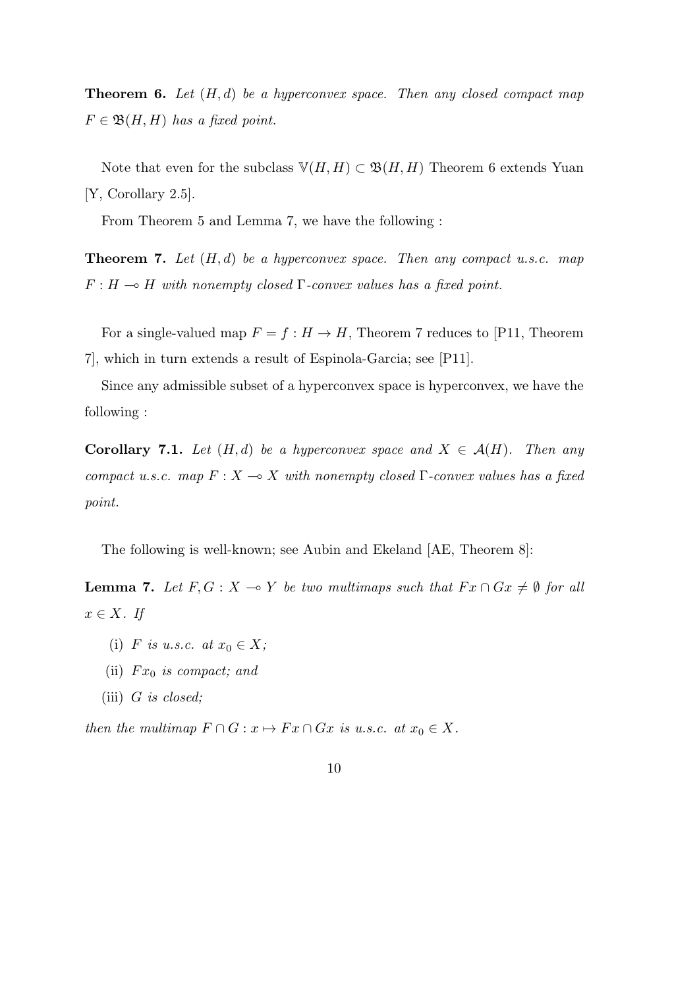**Theorem 6.** *Let* (*H, d*) *be a hyperconvex space. Then any closed compact map*  $F \in \mathfrak{B}(H,H)$  *has a fixed point.* 

Note that even for the subclass  $\mathbb{V}(H, H) \subset \mathfrak{B}(H, H)$  Theorem 6 extends Yuan [Y, Corollary 2.5].

From Theorem 5 and Lemma 7, we have the following :

**Theorem 7.** *Let* (*H, d*) *be a hyperconvex space. Then any compact u.s.c. map*  $F: H \rightarrow H$  *with nonempty closed* Γ*-convex values has a fixed point.* 

For a single-valued map  $F = f : H \to H$ , Theorem 7 reduces to [P11, Theorem 7], which in turn extends a result of Espinola-Garcia; see [P11].

Since any admissible subset of a hyperconvex space is hyperconvex, we have the following :

**Corollary 7.1.** *Let*  $(H,d)$  *be a hyperconvex space and*  $X \in \mathcal{A}(H)$ *. Then any compact u.s.c. map*  $F: X \to X$  *with nonempty closed*  $\Gamma$ *-convex values has a fixed point.*

The following is well-known; see Aubin and Ekeland [AE, Theorem 8]:

**Lemma 7.** Let  $F, G: X \to Y$  be two multimaps such that  $Fx \cap Gx \neq \emptyset$  for all *x ∈ X. If*

- (i) *F is u.s.c.* at  $x_0 \in X$ ;
- (ii) *F x*<sup>0</sup> *is compact; and*
- (iii) *G is closed;*

*then the multimap*  $F \cap G : x \mapsto Fx \cap Gx$  *is u.s.c. at*  $x_0 \in X$ *.*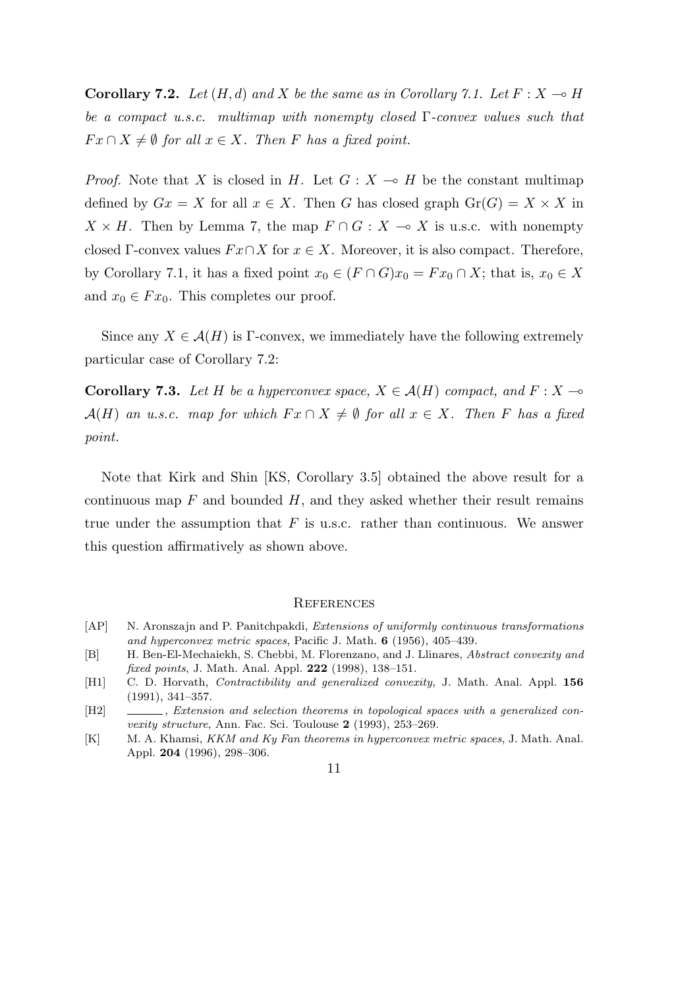**Corollary 7.2.** Let  $(H, d)$  and X be the same as in Corollary 7.1. Let  $F: X \to H$ *be a compact u.s.c. multimap with nonempty closed* Γ*-convex values such that*  $Fx \cap X \neq \emptyset$  *for all*  $x \in X$ *. Then F has a fixed point.* 

*Proof.* Note that *X* is closed in *H*. Let  $G: X \rightarrow H$  be the constant multimap defined by  $Gx = X$  for all  $x \in X$ . Then *G* has closed graph  $Gr(G) = X \times X$  in  $X \times H$ . Then by Lemma 7, the map  $F \cap G : X \to X$  is u.s.c. with nonempty closed  $\Gamma$ -convex values  $Fx\cap X$  for  $x\in X$ . Moreover, it is also compact. Therefore, by Corollary 7.1, it has a fixed point  $x_0 \in (F \cap G)x_0 = Fx_0 \cap X$ ; that is,  $x_0 \in X$ and  $x_0 \in F x_0$ . This completes our proof.

Since any  $X \in \mathcal{A}(H)$  is Γ-convex, we immediately have the following extremely particular case of Corollary 7.2:

**Corollary 7.3.** Let *H* be a hyperconvex space,  $X \in \mathcal{A}(H)$  compact, and  $F : X \rightarrow$  $\mathcal{A}(H)$  *an u.s.c. map for which*  $Fx \cap X \neq \emptyset$  *for all*  $x \in X$ *. Then F has a fixed point.*

Note that Kirk and Shin [KS, Corollary 3.5] obtained the above result for a continuous map  $F$  and bounded  $H$ , and they asked whether their result remains true under the assumption that *F* is u.s.c. rather than continuous. We answer this question affirmatively as shown above.

#### **REFERENCES**

- [AP] N. Aronszajn and P. Panitchpakdi, *Extensions of uniformly continuous transformations and hyperconvex metric spaces*, Pacific J. Math. **6** (1956), 405–439.
- [B] H. Ben-El-Mechaiekh, S. Chebbi, M. Florenzano, and J. Llinares, *Abstract convexity and fixed points*, J. Math. Anal. Appl. **222** (1998), 138–151.
- [H1] C. D. Horvath, *Contractibility and generalized convexity*, J. Math. Anal. Appl. **156** (1991), 341–357.
- [H2] , *Extension and selection theorems in topological spaces with a generalized convexity structure*, Ann. Fac. Sci. Toulouse **2** (1993), 253–269.
- [K] M. A. Khamsi, *KKM and Ky Fan theorems in hyperconvex metric spaces*, J. Math. Anal. Appl. **204** (1996), 298–306.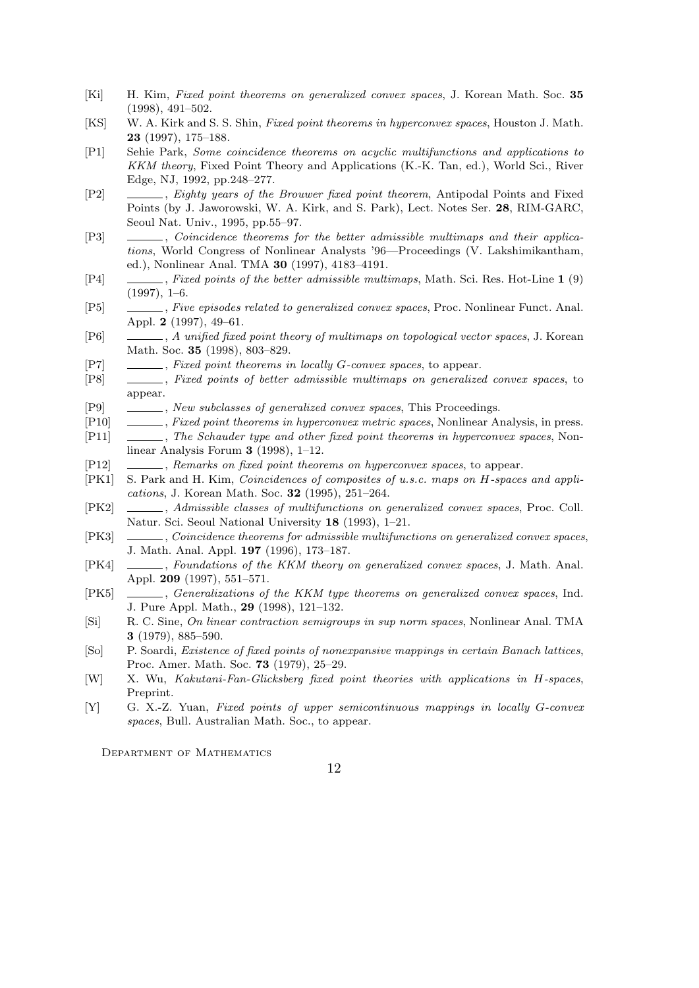- [Ki] H. Kim, *Fixed point theorems on generalized convex spaces*, J. Korean Math. Soc. **35** (1998), 491–502.
- [KS] W. A. Kirk and S. S. Shin, *Fixed point theorems in hyperconvex spaces*, Houston J. Math. **23** (1997), 175–188.
- [P1] Sehie Park, *Some coincidence theorems on acyclic multifunctions and applications to KKM theory*, Fixed Point Theory and Applications (K.-K. Tan, ed.), World Sci., River Edge, NJ, 1992, pp.248–277.
- [P2] , *Eighty years of the Brouwer fixed point theorem*, Antipodal Points and Fixed Points (by J. Jaworowski, W. A. Kirk, and S. Park), Lect. Notes Ser. **28**, RIM-GARC, Seoul Nat. Univ., 1995, pp.55–97.
- [P3] , *Coincidence theorems for the better admissible multimaps and their applications*, World Congress of Nonlinear Analysts '96—Proceedings (V. Lakshimikantham, ed.), Nonlinear Anal. TMA **30** (1997), 4183–4191.
- [P4] , *Fixed points of the better admissible multimaps*, Math. Sci. Res. Hot-Line **1** (9)  $(1997), 1-6.$
- [P5] , *Five episodes related to generalized convex spaces*, Proc. Nonlinear Funct. Anal. Appl. **2** (1997), 49–61.
- [P6] , *A unified fixed point theory of multimaps on topological vector spaces*, J. Korean Math. Soc. **35** (1998), 803–829.
- [P7] , *Fixed point theorems in locally G-convex spaces*, to appear.
- [P8] , *Fixed points of better admissible multimaps on generalized convex spaces*, to appear.
- [P9] , *New subclasses of generalized convex spaces*, This Proceedings.
- [P10] , *Fixed point theorems in hyperconvex metric spaces*, Nonlinear Analysis, in press. [P11] , *The Schauder type and other fixed point theorems in hyperconvex spaces*, Non-
- linear Analysis Forum **3** (1998), 1–12.
- [P12] , *Remarks on fixed point theorems on hyperconvex spaces*, to appear.
- [PK1] S. Park and H. Kim, *Coincidences of composites of u.s.c. maps on H-spaces and applications*, J. Korean Math. Soc. **32** (1995), 251–264.
- [PK2] , *Admissible classes of multifunctions on generalized convex spaces*, Proc. Coll. Natur. Sci. Seoul National University **18** (1993), 1–21.
- [PK3] , *Coincidence theorems for admissible multifunctions on generalized convex spaces*, J. Math. Anal. Appl. **197** (1996), 173–187.
- [PK4] , *Foundations of the KKM theory on generalized convex spaces*, J. Math. Anal. Appl. **209** (1997), 551–571.
- [PK5] , *Generalizations of the KKM type theorems on generalized convex spaces*, Ind. J. Pure Appl. Math., **29** (1998), 121–132.
- [Si] R. C. Sine, *On linear contraction semigroups in sup norm spaces*, Nonlinear Anal. TMA **3** (1979), 885–590.
- [So] P. Soardi, *Existence of fixed points of nonexpansive mappings in certain Banach lattices*, Proc. Amer. Math. Soc. **73** (1979), 25–29.
- [W] X. Wu, *Kakutani-Fan-Glicksberg fixed point theories with applications in H-spaces*, Preprint.
- [Y] G. X.-Z. Yuan, *Fixed points of upper semicontinuous mappings in locally G-convex spaces*, Bull. Australian Math. Soc., to appear.

Department of Mathematics